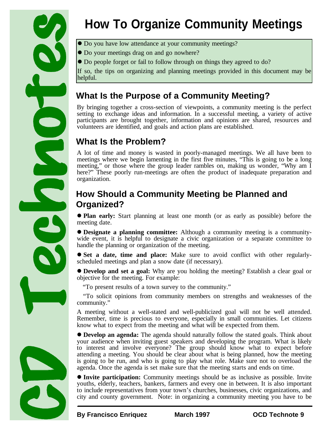

# **How To Organize Community Meetings**

- $\bullet$  Do you have low attendance at your community meetings?
- $\bullet$  Do your meetings drag on and go nowhere?
- Do people forget or fail to follow through on things they agreed to do?

If so, the tips on organizing and planning meetings provided in this document may be helpful.

# **What Is the Purpose of a Community Meeting?**

By bringing together a cross-section of viewpoints, a community meeting is the perfect setting to exchange ideas and information. In a successful meeting, a variety of active participants are brought together, information and opinions are shared, resources and volunteers are identified, and goals and action plans are established.

# **What Is the Problem?**

A lot of time and money is wasted in poorly-managed meetings. We all have been to meetings where we begin lamenting in the first five minutes, "This is going to be a long meeting," or those where the group leader rambles on, making us wonder, "Why am I here?" These poorly run-meetings are often the product of inadequate preparation and organization.

## **How Should a Community Meeting be Planned and Organized?**

**Plan early:** Start planning at least one month (or as early as possible) before the meeting date.

l **Designate a planning committee:** Although a community meeting is a communitywide event, it is helpful to designate a civic organization or a separate committee to handle the planning or organization of the meeting.

l **Set a date, time and place:** Make sure to avoid conflict with other regularlyscheduled meetings and plan a snow date (if necessary).

l **Develop and set a goal:** Why are you holding the meeting? Establish a clear goal or objective for the meeting. For example:

"To present results of a town survey to the community."

"To solicit opinions from community members on strengths and weaknesses of the community."

A meeting without a well-stated and well-publicized goal will not be well attended. Remember, time is precious to everyone, especially in small communities. Let citizens know what to expect from the meeting and what will be expected from them.

l **Develop an agenda:** The agenda should naturally follow the stated goals. Think about your audience when inviting guest speakers and developing the program. What is likely to interest and involve everyone? The group should know what to expect before attending a meeting. You should be clear about what is being planned, how the meeting is going to be run, and who is going to play what role. Make sure not to overload the agenda. Once the agenda is set make sure that the meeting starts and ends on time.

**Invite participation:** Community meetings should be as inclusive as possible. Invite youths, elderly, teachers, bankers, farmers and every one in between. It is also important to include representatives from your town's churches, businesses, civic organizations, and city and county government. Note: in organizing a community meeting you have to be